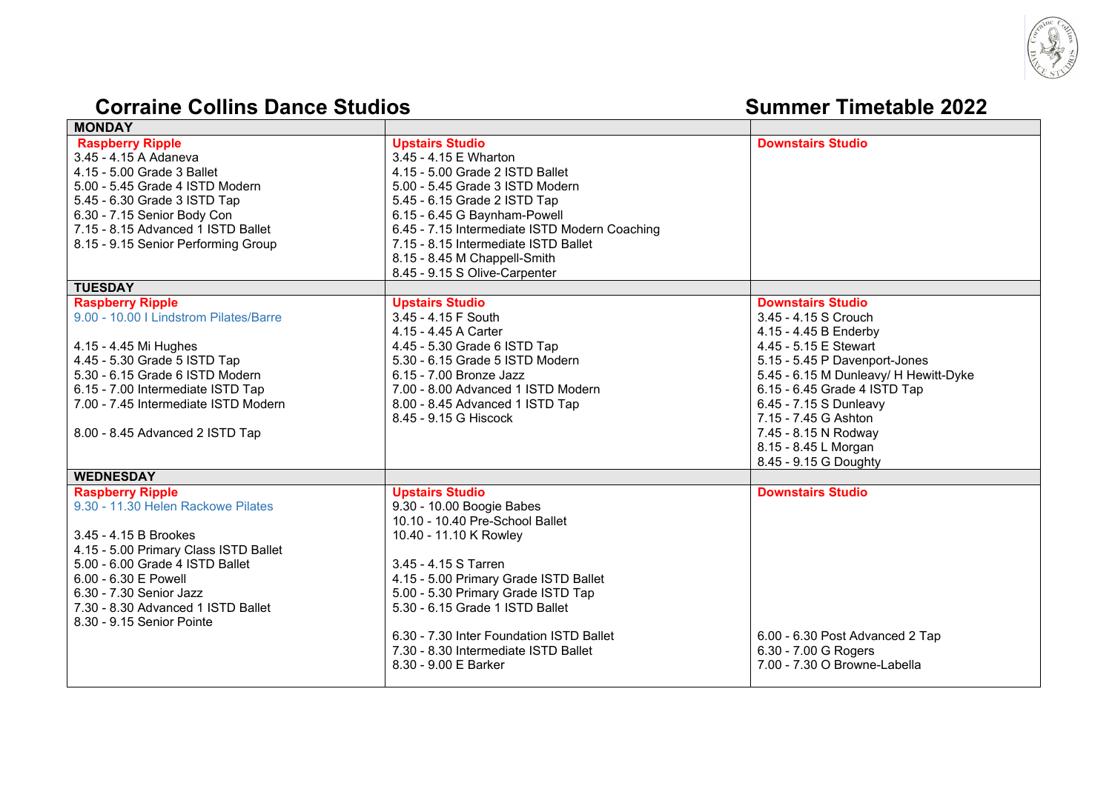

## **Corraine Collins Dance Studios Summer Summer** Timetable 2022

| <b>MONDAY</b>                                                                                                                                                                                                                                                 |                                                                                                                                                                                                                                                                                                                                                 |                                                                           |
|---------------------------------------------------------------------------------------------------------------------------------------------------------------------------------------------------------------------------------------------------------------|-------------------------------------------------------------------------------------------------------------------------------------------------------------------------------------------------------------------------------------------------------------------------------------------------------------------------------------------------|---------------------------------------------------------------------------|
| <b>Raspberry Ripple</b><br>3.45 - 4.15 A Adaneva<br>4.15 - 5.00 Grade 3 Ballet<br>5.00 - 5.45 Grade 4 ISTD Modern<br>5.45 - 6.30 Grade 3 ISTD Tap<br>6.30 - 7.15 Senior Body Con<br>7.15 - 8.15 Advanced 1 ISTD Ballet<br>8.15 - 9.15 Senior Performing Group | <b>Upstairs Studio</b><br>3.45 - 4.15 E Wharton<br>4.15 - 5.00 Grade 2 ISTD Ballet<br>5.00 - 5.45 Grade 3 ISTD Modern<br>5.45 - 6.15 Grade 2 ISTD Tap<br>6.15 - 6.45 G Baynham-Powell<br>6.45 - 7.15 Intermediate ISTD Modern Coaching<br>7.15 - 8.15 Intermediate ISTD Ballet<br>8.15 - 8.45 M Chappell-Smith<br>8.45 - 9.15 S Olive-Carpenter | <b>Downstairs Studio</b>                                                  |
| <b>TUESDAY</b>                                                                                                                                                                                                                                                |                                                                                                                                                                                                                                                                                                                                                 |                                                                           |
| <b>Raspberry Ripple</b><br>9.00 - 10.00   Lindstrom Pilates/Barre                                                                                                                                                                                             | <b>Upstairs Studio</b><br>3.45 - 4.15 F South<br>4.15 - 4.45 A Carter                                                                                                                                                                                                                                                                           | <b>Downstairs Studio</b><br>3.45 - 4.15 S Crouch<br>4.15 - 4.45 B Enderby |
| 4.15 - 4.45 Mi Hughes                                                                                                                                                                                                                                         | 4.45 - 5.30 Grade 6 ISTD Tap                                                                                                                                                                                                                                                                                                                    | 4.45 - 5.15 E Stewart                                                     |
| 4.45 - 5.30 Grade 5 ISTD Tap                                                                                                                                                                                                                                  | 5.30 - 6.15 Grade 5 ISTD Modern                                                                                                                                                                                                                                                                                                                 | 5.15 - 5.45 P Davenport-Jones                                             |
| 5.30 - 6.15 Grade 6 ISTD Modern                                                                                                                                                                                                                               | 6.15 - 7.00 Bronze Jazz                                                                                                                                                                                                                                                                                                                         | 5.45 - 6.15 M Dunleavy/ H Hewitt-Dyke                                     |
| 6.15 - 7.00 Intermediate ISTD Tap                                                                                                                                                                                                                             | 7.00 - 8.00 Advanced 1 ISTD Modern                                                                                                                                                                                                                                                                                                              | 6.15 - 6.45 Grade 4 ISTD Tap                                              |
| 7.00 - 7.45 Intermediate ISTD Modern                                                                                                                                                                                                                          | 8.00 - 8.45 Advanced 1 ISTD Tap                                                                                                                                                                                                                                                                                                                 | 6.45 - 7.15 S Dunleavy                                                    |
|                                                                                                                                                                                                                                                               | 8.45 - 9.15 G Hiscock                                                                                                                                                                                                                                                                                                                           | 7.15 - 7.45 G Ashton                                                      |
| 8.00 - 8.45 Advanced 2 ISTD Tap                                                                                                                                                                                                                               |                                                                                                                                                                                                                                                                                                                                                 | 7.45 - 8.15 N Rodway                                                      |
|                                                                                                                                                                                                                                                               |                                                                                                                                                                                                                                                                                                                                                 | 8.15 - 8.45 L Morgan                                                      |
|                                                                                                                                                                                                                                                               |                                                                                                                                                                                                                                                                                                                                                 | 8.45 - 9.15 G Doughty                                                     |
| <b>WEDNESDAY</b>                                                                                                                                                                                                                                              |                                                                                                                                                                                                                                                                                                                                                 |                                                                           |
| <b>Raspberry Ripple</b>                                                                                                                                                                                                                                       | <b>Upstairs Studio</b>                                                                                                                                                                                                                                                                                                                          | <b>Downstairs Studio</b>                                                  |
| 9.30 - 11.30 Helen Rackowe Pilates                                                                                                                                                                                                                            | 9.30 - 10.00 Boogie Babes                                                                                                                                                                                                                                                                                                                       |                                                                           |
|                                                                                                                                                                                                                                                               | 10.10 - 10.40 Pre-School Ballet                                                                                                                                                                                                                                                                                                                 |                                                                           |
| 3.45 - 4.15 B Brookes                                                                                                                                                                                                                                         | 10.40 - 11.10 K Rowley                                                                                                                                                                                                                                                                                                                          |                                                                           |
| 4.15 - 5.00 Primary Class ISTD Ballet                                                                                                                                                                                                                         |                                                                                                                                                                                                                                                                                                                                                 |                                                                           |
| 5.00 - 6.00 Grade 4 ISTD Ballet                                                                                                                                                                                                                               | 3.45 - 4.15 S Tarren                                                                                                                                                                                                                                                                                                                            |                                                                           |
| 6.00 - 6.30 E Powell                                                                                                                                                                                                                                          | 4.15 - 5.00 Primary Grade ISTD Ballet                                                                                                                                                                                                                                                                                                           |                                                                           |
| 6.30 - 7.30 Senior Jazz                                                                                                                                                                                                                                       | 5.00 - 5.30 Primary Grade ISTD Tap                                                                                                                                                                                                                                                                                                              |                                                                           |
| 7.30 - 8.30 Advanced 1 ISTD Ballet                                                                                                                                                                                                                            | 5.30 - 6.15 Grade 1 ISTD Ballet                                                                                                                                                                                                                                                                                                                 |                                                                           |
| 8.30 - 9.15 Senior Pointe                                                                                                                                                                                                                                     |                                                                                                                                                                                                                                                                                                                                                 |                                                                           |
|                                                                                                                                                                                                                                                               |                                                                                                                                                                                                                                                                                                                                                 |                                                                           |
|                                                                                                                                                                                                                                                               | 6.30 - 7.30 Inter Foundation ISTD Ballet                                                                                                                                                                                                                                                                                                        | 6.00 - 6.30 Post Advanced 2 Tap                                           |
|                                                                                                                                                                                                                                                               | 7.30 - 8.30 Intermediate ISTD Ballet                                                                                                                                                                                                                                                                                                            | 6.30 - 7.00 G Rogers                                                      |
|                                                                                                                                                                                                                                                               | 8.30 - 9.00 E Barker                                                                                                                                                                                                                                                                                                                            | 7.00 - 7.30 O Browne-Labella                                              |
|                                                                                                                                                                                                                                                               |                                                                                                                                                                                                                                                                                                                                                 |                                                                           |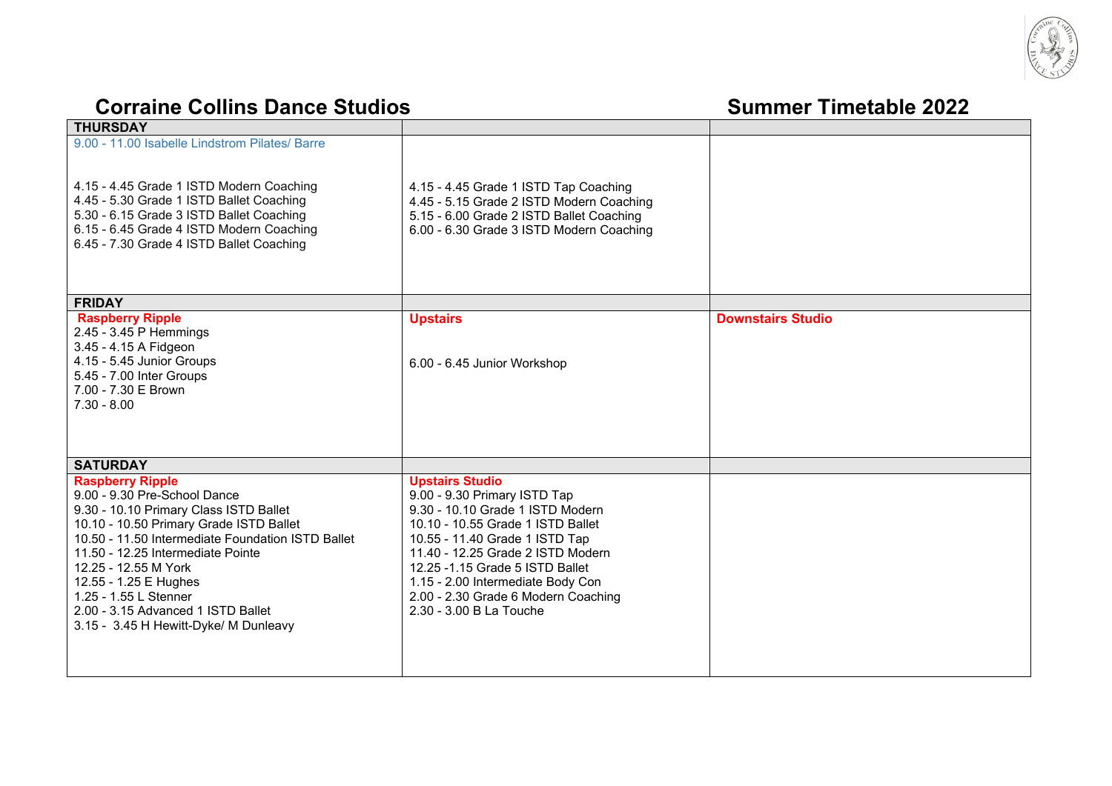

## **Corraine Collins Dance Studios Summer** Timetable 2022

| THURSDAY                                                                                                                                                                                                                                                                                                                                                                                        |                                                                                                                                                                                                                                                                                                                                                  |                          |
|-------------------------------------------------------------------------------------------------------------------------------------------------------------------------------------------------------------------------------------------------------------------------------------------------------------------------------------------------------------------------------------------------|--------------------------------------------------------------------------------------------------------------------------------------------------------------------------------------------------------------------------------------------------------------------------------------------------------------------------------------------------|--------------------------|
| 9.00 - 11.00 Isabelle Lindstrom Pilates/ Barre<br>4.15 - 4.45 Grade 1 ISTD Modern Coaching<br>4.45 - 5.30 Grade 1 ISTD Ballet Coaching<br>5.30 - 6.15 Grade 3 ISTD Ballet Coaching<br>6.15 - 6.45 Grade 4 ISTD Modern Coaching<br>6.45 - 7.30 Grade 4 ISTD Ballet Coaching                                                                                                                      | 4.15 - 4.45 Grade 1 ISTD Tap Coaching<br>4.45 - 5.15 Grade 2 ISTD Modern Coaching<br>5.15 - 6.00 Grade 2 ISTD Ballet Coaching<br>6.00 - 6.30 Grade 3 ISTD Modern Coaching                                                                                                                                                                        |                          |
| <b>FRIDAY</b>                                                                                                                                                                                                                                                                                                                                                                                   |                                                                                                                                                                                                                                                                                                                                                  |                          |
| <b>Raspberry Ripple</b><br>2.45 - 3.45 P Hemmings<br>3.45 - 4.15 A Fidgeon<br>4.15 - 5.45 Junior Groups<br>5.45 - 7.00 Inter Groups<br>7.00 - 7.30 E Brown<br>$7.30 - 8.00$                                                                                                                                                                                                                     | <b>Upstairs</b><br>6.00 - 6.45 Junior Workshop                                                                                                                                                                                                                                                                                                   | <b>Downstairs Studio</b> |
| <b>SATURDAY</b>                                                                                                                                                                                                                                                                                                                                                                                 |                                                                                                                                                                                                                                                                                                                                                  |                          |
| <b>Raspberry Ripple</b><br>9.00 - 9.30 Pre-School Dance<br>9.30 - 10.10 Primary Class ISTD Ballet<br>10.10 - 10.50 Primary Grade ISTD Ballet<br>10.50 - 11.50 Intermediate Foundation ISTD Ballet<br>11.50 - 12.25 Intermediate Pointe<br>12.25 - 12.55 M York<br>12.55 - 1.25 E Hughes<br>1.25 - 1.55 L Stenner<br>2.00 - 3.15 Advanced 1 ISTD Ballet<br>3.15 - 3.45 H Hewitt-Dyke/ M Dunleavy | <b>Upstairs Studio</b><br>9.00 - 9.30 Primary ISTD Tap<br>9.30 - 10.10 Grade 1 ISTD Modern<br>10.10 - 10.55 Grade 1 ISTD Ballet<br>10.55 - 11.40 Grade 1 ISTD Tap<br>11.40 - 12.25 Grade 2 ISTD Modern<br>12.25 -1.15 Grade 5 ISTD Ballet<br>1.15 - 2.00 Intermediate Body Con<br>2.00 - 2.30 Grade 6 Modern Coaching<br>2.30 - 3.00 B La Touche |                          |